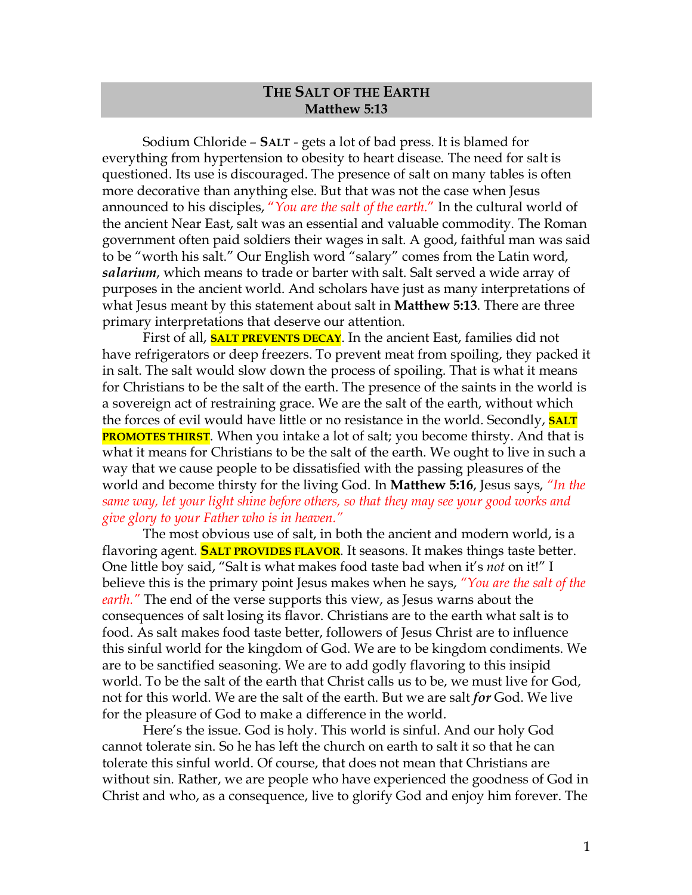## **THE SALT OF THE EARTH Matthew 5:13**

Sodium Chloride – **SALT** - gets a lot of bad press. It is blamed for everything from hypertension to obesity to heart disease. The need for salt is questioned. Its use is discouraged. The presence of salt on many tables is often more decorative than anything else. But that was not the case when Jesus announced to his disciples, "*You are the salt of the earth*." In the cultural world of the ancient Near East, salt was an essential and valuable commodity. The Roman government often paid soldiers their wages in salt. A good, faithful man was said to be "worth his salt." Our English word "salary" comes from the Latin word, *salarium*, which means to trade or barter with salt. Salt served a wide array of purposes in the ancient world. And scholars have just as many interpretations of what Jesus meant by this statement about salt in **Matthew 5:13**. There are three primary interpretations that deserve our attention.

First of all, **SALT PREVENTS DECAY**. In the ancient East, families did not have refrigerators or deep freezers. To prevent meat from spoiling, they packed it in salt. The salt would slow down the process of spoiling. That is what it means for Christians to be the salt of the earth. The presence of the saints in the world is a sovereign act of restraining grace. We are the salt of the earth, without which the forces of evil would have little or no resistance in the world. Secondly, **SALT PROMOTES THIRST**. When you intake a lot of salt; you become thirsty. And that is what it means for Christians to be the salt of the earth. We ought to live in such a way that we cause people to be dissatisfied with the passing pleasures of the world and become thirsty for the living God. In **Matthew 5:16**, Jesus says, *"In the same way, let your light shine before others, so that they may see your good works and give glory to your Father who is in heaven."*

The most obvious use of salt, in both the ancient and modern world, is a flavoring agent. **SALT PROVIDES FLAVOR**. It seasons. It makes things taste better. One little boy said, "Salt is what makes food taste bad when it's *not* on it!" I believe this is the primary point Jesus makes when he says, *"You are the salt of the earth."* The end of the verse supports this view, as Jesus warns about the consequences of salt losing its flavor. Christians are to the earth what salt is to food. As salt makes food taste better, followers of Jesus Christ are to influence this sinful world for the kingdom of God. We are to be kingdom condiments. We are to be sanctified seasoning. We are to add godly flavoring to this insipid world. To be the salt of the earth that Christ calls us to be, we must live for God, not for this world. We are the salt of the earth. But we are salt *for* God. We live for the pleasure of God to make a difference in the world.

Here's the issue. God is holy. This world is sinful. And our holy God cannot tolerate sin. So he has left the church on earth to salt it so that he can tolerate this sinful world. Of course, that does not mean that Christians are without sin. Rather, we are people who have experienced the goodness of God in Christ and who, as a consequence, live to glorify God and enjoy him forever. The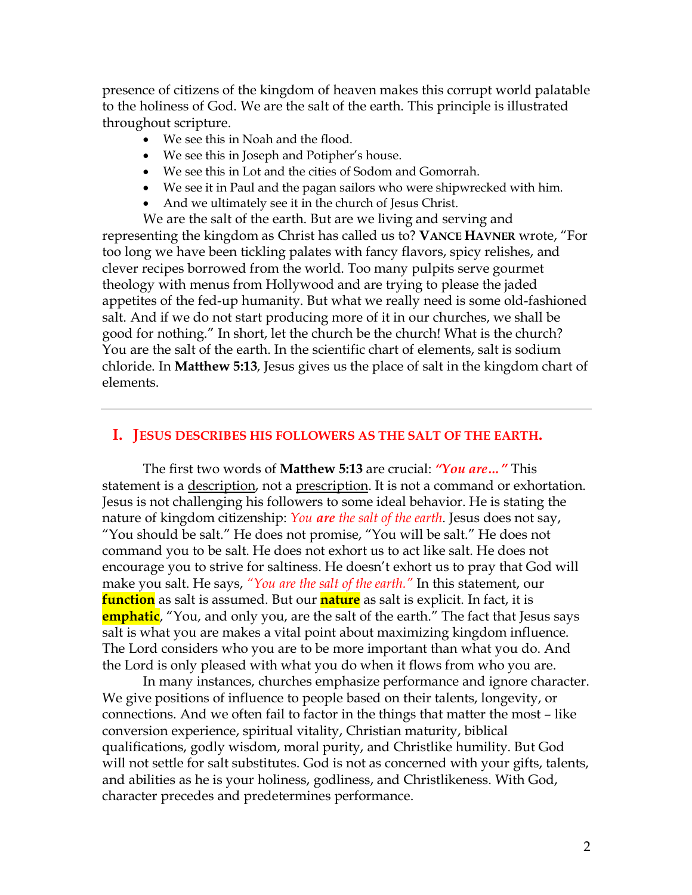presence of citizens of the kingdom of heaven makes this corrupt world palatable to the holiness of God. We are the salt of the earth. This principle is illustrated throughout scripture.

- We see this in Noah and the flood.
- We see this in Joseph and Potipher's house.
- We see this in Lot and the cities of Sodom and Gomorrah.
- We see it in Paul and the pagan sailors who were shipwrecked with him.
- And we ultimately see it in the church of Jesus Christ.

We are the salt of the earth. But are we living and serving and representing the kingdom as Christ has called us to? **VANCE HAVNER** wrote, "For too long we have been tickling palates with fancy flavors, spicy relishes, and clever recipes borrowed from the world. Too many pulpits serve gourmet theology with menus from Hollywood and are trying to please the jaded appetites of the fed-up humanity. But what we really need is some old-fashioned salt. And if we do not start producing more of it in our churches, we shall be good for nothing." In short, let the church be the church! What is the church? You are the salt of the earth. In the scientific chart of elements, salt is sodium chloride. In **Matthew 5:13**, Jesus gives us the place of salt in the kingdom chart of elements.

## **I. JESUS DESCRIBES HIS FOLLOWERS AS THE SALT OF THE EARTH.**

The first two words of **Matthew 5:13** are crucial: *"You are…"* This statement is a description, not a prescription. It is not a command or exhortation. Jesus is not challenging his followers to some ideal behavior. He is stating the nature of kingdom citizenship: *You are the salt of the earth*. Jesus does not say, "You should be salt." He does not promise, "You will be salt." He does not command you to be salt. He does not exhort us to act like salt. He does not encourage you to strive for saltiness. He doesn't exhort us to pray that God will make you salt. He says, *"You are the salt of the earth."* In this statement, our **function** as salt is assumed. But our **nature** as salt is explicit. In fact, it is **emphatic**, "You, and only you, are the salt of the earth." The fact that Jesus says salt is what you are makes a vital point about maximizing kingdom influence. The Lord considers who you are to be more important than what you do. And the Lord is only pleased with what you do when it flows from who you are.

In many instances, churches emphasize performance and ignore character. We give positions of influence to people based on their talents, longevity, or connections. And we often fail to factor in the things that matter the most – like conversion experience, spiritual vitality, Christian maturity, biblical qualifications, godly wisdom, moral purity, and Christlike humility. But God will not settle for salt substitutes. God is not as concerned with your gifts, talents, and abilities as he is your holiness, godliness, and Christlikeness. With God, character precedes and predetermines performance.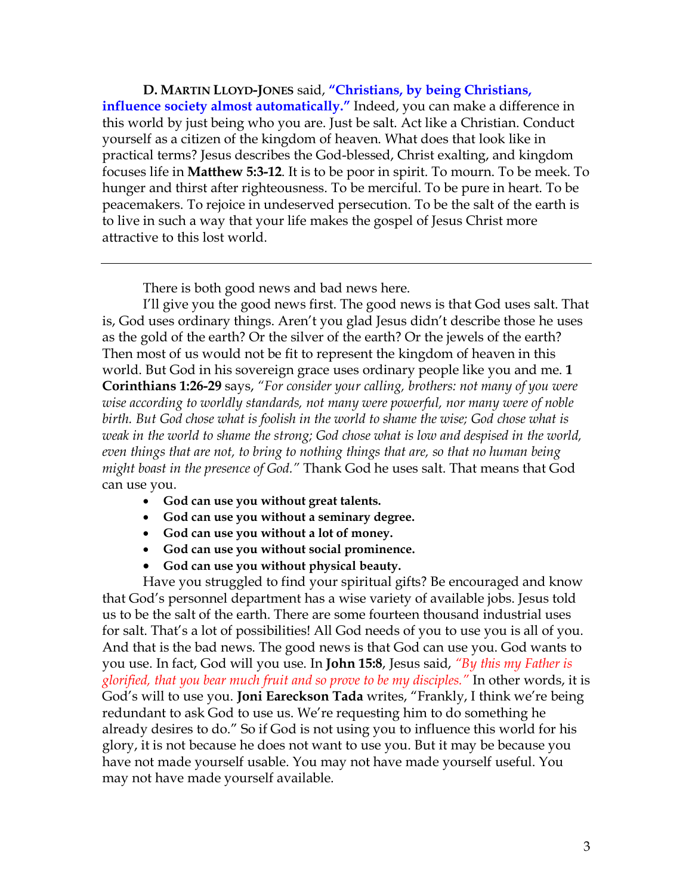**D. MARTIN LLOYD-JONES** said, **"Christians, by being Christians, influence society almost automatically."** Indeed, you can make a difference in this world by just being who you are. Just be salt. Act like a Christian. Conduct yourself as a citizen of the kingdom of heaven. What does that look like in practical terms? Jesus describes the God-blessed, Christ exalting, and kingdom focuses life in **Matthew 5:3-12**. It is to be poor in spirit. To mourn. To be meek. To hunger and thirst after righteousness. To be merciful. To be pure in heart. To be peacemakers. To rejoice in undeserved persecution. To be the salt of the earth is to live in such a way that your life makes the gospel of Jesus Christ more attractive to this lost world.

There is both good news and bad news here.

I'll give you the good news first. The good news is that God uses salt. That is, God uses ordinary things. Aren't you glad Jesus didn't describe those he uses as the gold of the earth? Or the silver of the earth? Or the jewels of the earth? Then most of us would not be fit to represent the kingdom of heaven in this world. But God in his sovereign grace uses ordinary people like you and me. **1 Corinthians 1:26-29** says, *"For consider your calling, brothers: not many of you were wise according to worldly standards, not many were powerful, nor many were of noble birth. But God chose what is foolish in the world to shame the wise; God chose what is weak in the world to shame the strong; God chose what is low and despised in the world, even things that are not, to bring to nothing things that are, so that no human being might boast in the presence of God."* Thank God he uses salt. That means that God can use you.

- **God can use you without great talents.**
- **God can use you without a seminary degree.**
- **God can use you without a lot of money.**
- **God can use you without social prominence.**
- **God can use you without physical beauty.**

Have you struggled to find your spiritual gifts? Be encouraged and know that God's personnel department has a wise variety of available jobs. Jesus told us to be the salt of the earth. There are some fourteen thousand industrial uses for salt. That's a lot of possibilities! All God needs of you to use you is all of you. And that is the bad news. The good news is that God can use you. God wants to you use. In fact, God will you use. In **John 15:8**, Jesus said, *"By this my Father is glorified, that you bear much fruit and so prove to be my disciples."* In other words, it is God's will to use you. **Joni Eareckson Tada** writes, "Frankly, I think we're being redundant to ask God to use us. We're requesting him to do something he already desires to do." So if God is not using you to influence this world for his glory, it is not because he does not want to use you. But it may be because you have not made yourself usable. You may not have made yourself useful. You may not have made yourself available.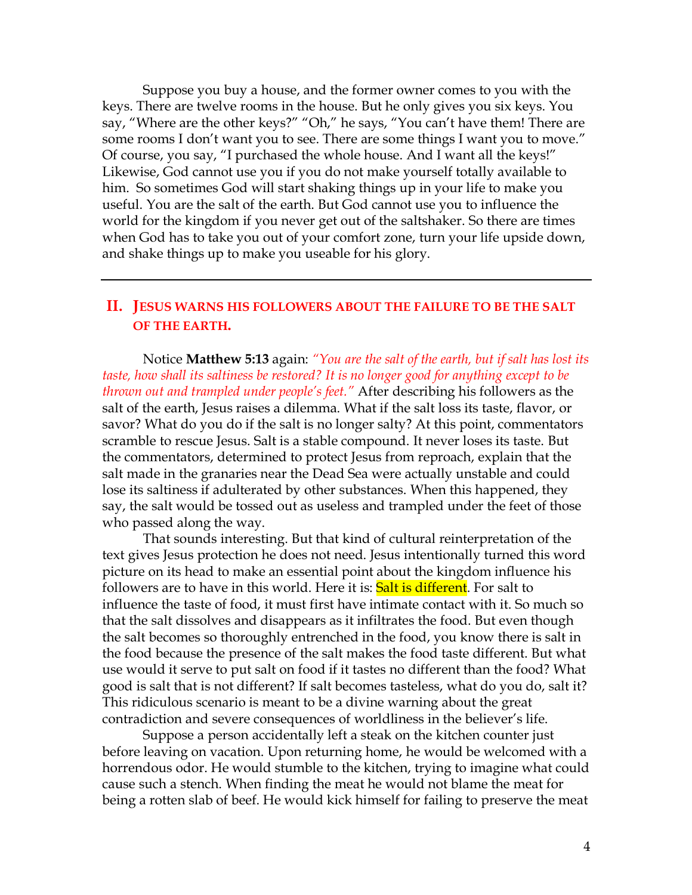Suppose you buy a house, and the former owner comes to you with the keys. There are twelve rooms in the house. But he only gives you six keys. You say, "Where are the other keys?" "Oh," he says, "You can't have them! There are some rooms I don't want you to see. There are some things I want you to move." Of course, you say, "I purchased the whole house. And I want all the keys!" Likewise, God cannot use you if you do not make yourself totally available to him. So sometimes God will start shaking things up in your life to make you useful. You are the salt of the earth. But God cannot use you to influence the world for the kingdom if you never get out of the saltshaker. So there are times when God has to take you out of your comfort zone, turn your life upside down, and shake things up to make you useable for his glory.

## **II. JESUS WARNS HIS FOLLOWERS ABOUT THE FAILURE TO BE THE SALT OF THE EARTH.**

Notice **Matthew 5:13** again: *"You are the salt of the earth, but if salt has lost its taste, how shall its saltiness be restored? It is no longer good for anything except to be thrown out and trampled under people's feet."* After describing his followers as the salt of the earth, Jesus raises a dilemma. What if the salt loss its taste, flavor, or savor? What do you do if the salt is no longer salty? At this point, commentators scramble to rescue Jesus. Salt is a stable compound. It never loses its taste. But the commentators, determined to protect Jesus from reproach, explain that the salt made in the granaries near the Dead Sea were actually unstable and could lose its saltiness if adulterated by other substances. When this happened, they say, the salt would be tossed out as useless and trampled under the feet of those who passed along the way.

That sounds interesting. But that kind of cultural reinterpretation of the text gives Jesus protection he does not need. Jesus intentionally turned this word picture on its head to make an essential point about the kingdom influence his followers are to have in this world. Here it is: **Salt is different**. For salt to influence the taste of food, it must first have intimate contact with it. So much so that the salt dissolves and disappears as it infiltrates the food. But even though the salt becomes so thoroughly entrenched in the food, you know there is salt in the food because the presence of the salt makes the food taste different. But what use would it serve to put salt on food if it tastes no different than the food? What good is salt that is not different? If salt becomes tasteless, what do you do, salt it? This ridiculous scenario is meant to be a divine warning about the great contradiction and severe consequences of worldliness in the believer's life.

Suppose a person accidentally left a steak on the kitchen counter just before leaving on vacation. Upon returning home, he would be welcomed with a horrendous odor. He would stumble to the kitchen, trying to imagine what could cause such a stench. When finding the meat he would not blame the meat for being a rotten slab of beef. He would kick himself for failing to preserve the meat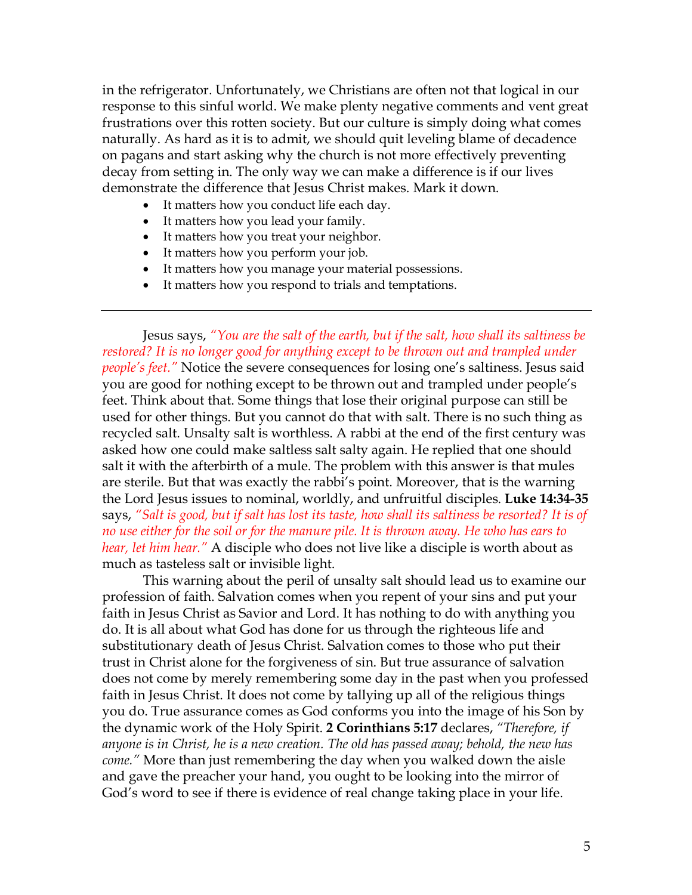in the refrigerator. Unfortunately, we Christians are often not that logical in our response to this sinful world. We make plenty negative comments and vent great frustrations over this rotten society. But our culture is simply doing what comes naturally. As hard as it is to admit, we should quit leveling blame of decadence on pagans and start asking why the church is not more effectively preventing decay from setting in. The only way we can make a difference is if our lives demonstrate the difference that Jesus Christ makes. Mark it down.

- It matters how you conduct life each day.
- It matters how you lead your family.
- It matters how you treat your neighbor.
- It matters how you perform your job.
- It matters how you manage your material possessions.
- It matters how you respond to trials and temptations.

Jesus says, *"You are the salt of the earth, but if the salt, how shall its saltiness be restored? It is no longer good for anything except to be thrown out and trampled under people's feet.*" Notice the severe consequences for losing one's saltiness. Jesus said you are good for nothing except to be thrown out and trampled under people's feet. Think about that. Some things that lose their original purpose can still be used for other things. But you cannot do that with salt. There is no such thing as recycled salt. Unsalty salt is worthless. A rabbi at the end of the first century was asked how one could make saltless salt salty again. He replied that one should salt it with the afterbirth of a mule. The problem with this answer is that mules are sterile. But that was exactly the rabbi's point. Moreover, that is the warning the Lord Jesus issues to nominal, worldly, and unfruitful disciples. **Luke 14:34-35** says, *"Salt is good, but if salt has lost its taste, how shall its saltiness be resorted? It is of no use either for the soil or for the manure pile. It is thrown away. He who has ears to hear, let him hear."* A disciple who does not live like a disciple is worth about as much as tasteless salt or invisible light.

This warning about the peril of unsalty salt should lead us to examine our profession of faith. Salvation comes when you repent of your sins and put your faith in Jesus Christ as Savior and Lord. It has nothing to do with anything you do. It is all about what God has done for us through the righteous life and substitutionary death of Jesus Christ. Salvation comes to those who put their trust in Christ alone for the forgiveness of sin. But true assurance of salvation does not come by merely remembering some day in the past when you professed faith in Jesus Christ. It does not come by tallying up all of the religious things you do. True assurance comes as God conforms you into the image of his Son by the dynamic work of the Holy Spirit. **2 Corinthians 5:17** declares, *"Therefore, if anyone is in Christ, he is a new creation. The old has passed away; behold, the new has come."* More than just remembering the day when you walked down the aisle and gave the preacher your hand, you ought to be looking into the mirror of God's word to see if there is evidence of real change taking place in your life.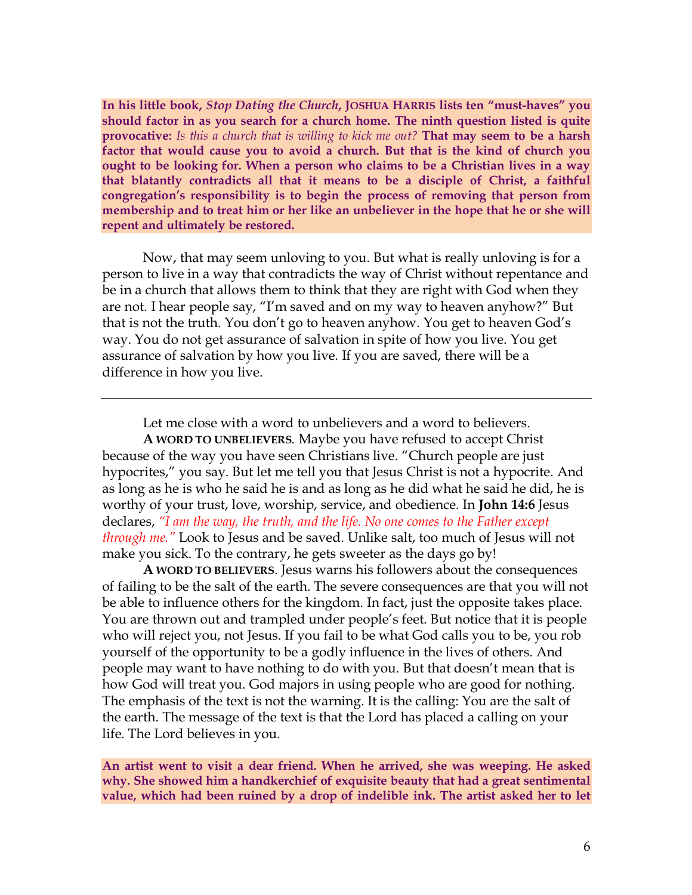**In his little book,** *Stop Dating the Church***, JOSHUA HARRIS lists ten "must-haves" you should factor in as you search for a church home. The ninth question listed is quite provocative:** *Is this a church that is willing to kick me out?* **That may seem to be a harsh factor that would cause you to avoid a church. But that is the kind of church you ought to be looking for. When a person who claims to be a Christian lives in a way that blatantly contradicts all that it means to be a disciple of Christ, a faithful congregation's responsibility is to begin the process of removing that person from membership and to treat him or her like an unbeliever in the hope that he or she will repent and ultimately be restored.** 

Now, that may seem unloving to you. But what is really unloving is for a person to live in a way that contradicts the way of Christ without repentance and be in a church that allows them to think that they are right with God when they are not. I hear people say, "I'm saved and on my way to heaven anyhow?" But that is not the truth. You don't go to heaven anyhow. You get to heaven God's way. You do not get assurance of salvation in spite of how you live. You get assurance of salvation by how you live. If you are saved, there will be a difference in how you live.

Let me close with a word to unbelievers and a word to believers.

**A WORD TO UNBELIEVERS**. Maybe you have refused to accept Christ because of the way you have seen Christians live. "Church people are just hypocrites," you say. But let me tell you that Jesus Christ is not a hypocrite. And as long as he is who he said he is and as long as he did what he said he did, he is worthy of your trust, love, worship, service, and obedience. In **John 14:6** Jesus declares, *"I am the way, the truth, and the life. No one comes to the Father except through me."* Look to Jesus and be saved. Unlike salt, too much of Jesus will not make you sick. To the contrary, he gets sweeter as the days go by!

**A WORD TO BELIEVERS**. Jesus warns his followers about the consequences of failing to be the salt of the earth. The severe consequences are that you will not be able to influence others for the kingdom. In fact, just the opposite takes place. You are thrown out and trampled under people's feet. But notice that it is people who will reject you, not Jesus. If you fail to be what God calls you to be, you rob yourself of the opportunity to be a godly influence in the lives of others. And people may want to have nothing to do with you. But that doesn't mean that is how God will treat you. God majors in using people who are good for nothing. The emphasis of the text is not the warning. It is the calling: You are the salt of the earth. The message of the text is that the Lord has placed a calling on your life. The Lord believes in you.

**An artist went to visit a dear friend. When he arrived, she was weeping. He asked why. She showed him a handkerchief of exquisite beauty that had a great sentimental value, which had been ruined by a drop of indelible ink. The artist asked her to let**